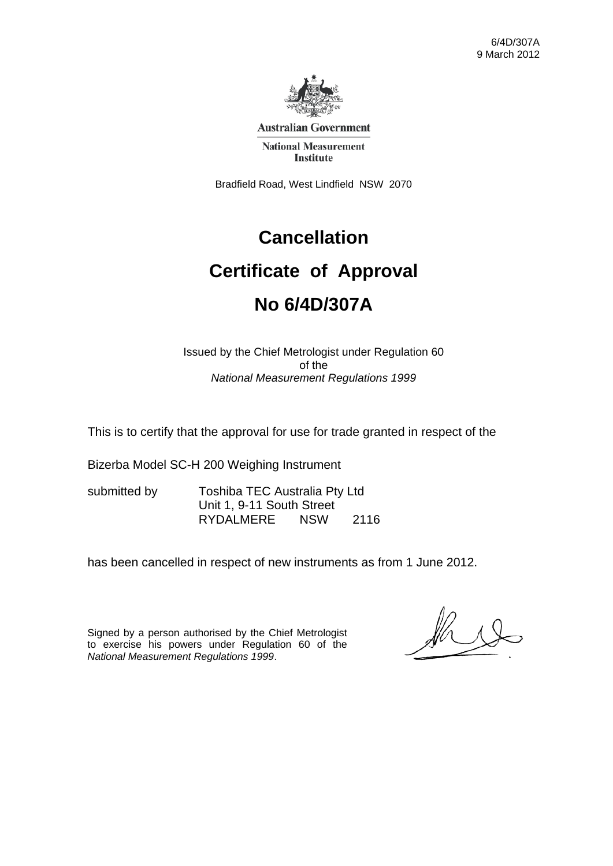

**Australian Government** 

**National Measurement Institute** 

Bradfield Road, West Lindfield NSW 2070

# **Cancellation**

# **Certificate of Approval No 6/4D/307A**

Issued by the Chief Metrologist under Regulation 60 of the *National Measurement Regulations 1999* 

This is to certify that the approval for use for trade granted in respect of the

Bizerba Model SC-H 200 Weighing Instrument

submitted by Toshiba TEC Australia Pty Ltd Unit 1, 9-11 South Street RYDALMERE NSW 2116

has been cancelled in respect of new instruments as from 1 June 2012.

Signed by a person authorised by the Chief Metrologist to exercise his powers under Regulation 60 of the *National Measurement Regulations 1999*.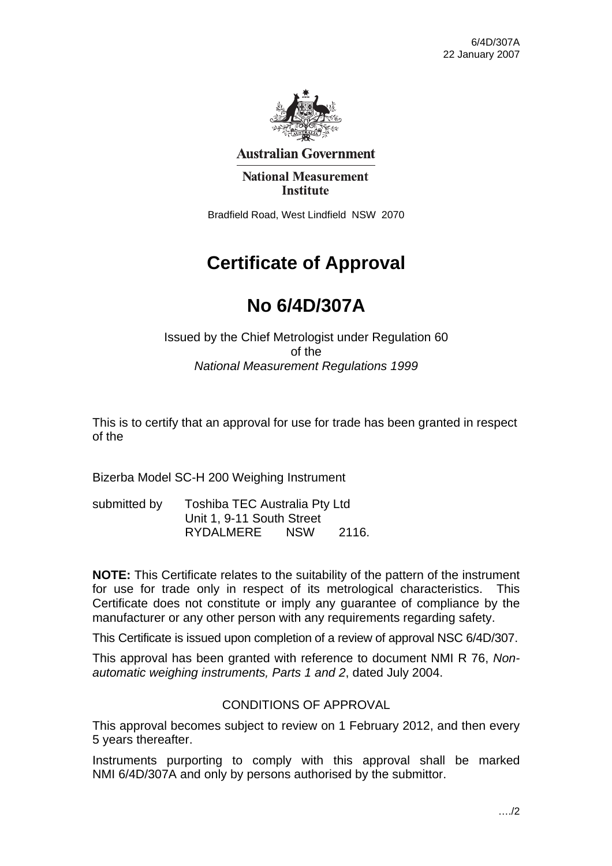

**Australian Government** 

**National Measurement Institute** 

Bradfield Road, West Lindfield NSW 2070

# **Certificate of Approval**

# **No 6/4D/307A**

Issued by the Chief Metrologist under Regulation 60 of the *National Measurement Regulations 1999* 

This is to certify that an approval for use for trade has been granted in respect of the

Bizerba Model SC-H 200 Weighing Instrument

| submitted by | Toshiba TEC Australia Pty Ltd |            |       |
|--------------|-------------------------------|------------|-------|
|              | Unit 1, 9-11 South Street     |            |       |
|              | RYDALMERE                     | <b>NSW</b> | 2116. |

**NOTE:** This Certificate relates to the suitability of the pattern of the instrument for use for trade only in respect of its metrological characteristics. This Certificate does not constitute or imply any guarantee of compliance by the manufacturer or any other person with any requirements regarding safety.

This Certificate is issued upon completion of a review of approval NSC 6/4D/307.

This approval has been granted with reference to document NMI R 76, *Nonautomatic weighing instruments, Parts 1 and 2*, dated July 2004.

#### CONDITIONS OF APPROVAL

This approval becomes subject to review on 1 February 2012, and then every 5 years thereafter.

Instruments purporting to comply with this approval shall be marked NMI 6/4D/307A and only by persons authorised by the submittor.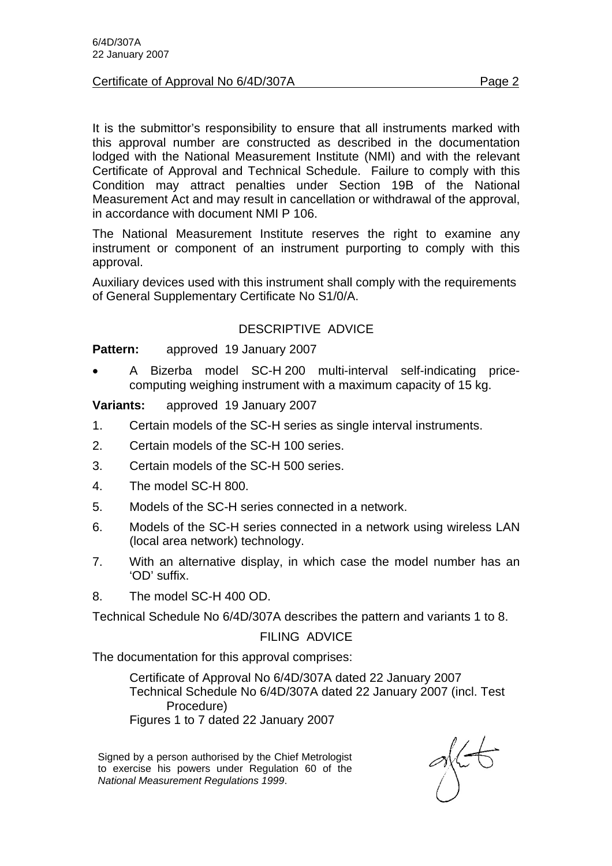#### Certificate of Approval No 6/4D/307A Page 2

It is the submittor's responsibility to ensure that all instruments marked with this approval number are constructed as described in the documentation lodged with the National Measurement Institute (NMI) and with the relevant Certificate of Approval and Technical Schedule. Failure to comply with this Condition may attract penalties under Section 19B of the National Measurement Act and may result in cancellation or withdrawal of the approval, in accordance with document NMI P 106.

The National Measurement Institute reserves the right to examine any instrument or component of an instrument purporting to comply with this approval.

Auxiliary devices used with this instrument shall comply with the requirements of General Supplementary Certificate No S1/0/A.

# DESCRIPTIVE ADVICE

**Pattern:** approved 19 January 2007

• A Bizerba model SC-H 200 multi-interval self-indicating pricecomputing weighing instrument with a maximum capacity of 15 kg.

**Variants:** approved 19 January 2007

- 1. Certain models of the SC-H series as single interval instruments.
- 2. Certain models of the SC-H 100 series.
- 3. Certain models of the SC-H 500 series.
- 4. The model SC-H 800.
- 5. Models of the SC-H series connected in a network.
- 6. Models of the SC-H series connected in a network using wireless LAN (local area network) technology.
- 7. With an alternative display, in which case the model number has an 'OD' suffix.
- 8. The model SC-H 400 OD.

Technical Schedule No 6/4D/307A describes the pattern and variants 1 to 8.

#### FILING ADVICE

The documentation for this approval comprises:

 Certificate of Approval No 6/4D/307A dated 22 January 2007 Technical Schedule No 6/4D/307A dated 22 January 2007 (incl. Test Procedure) Figures 1 to 7 dated 22 January 2007

Signed by a person authorised by the Chief Metrologist to exercise his powers under Regulation 60 of the *National Measurement Regulations 1999*.

 $\frac{1}{2}$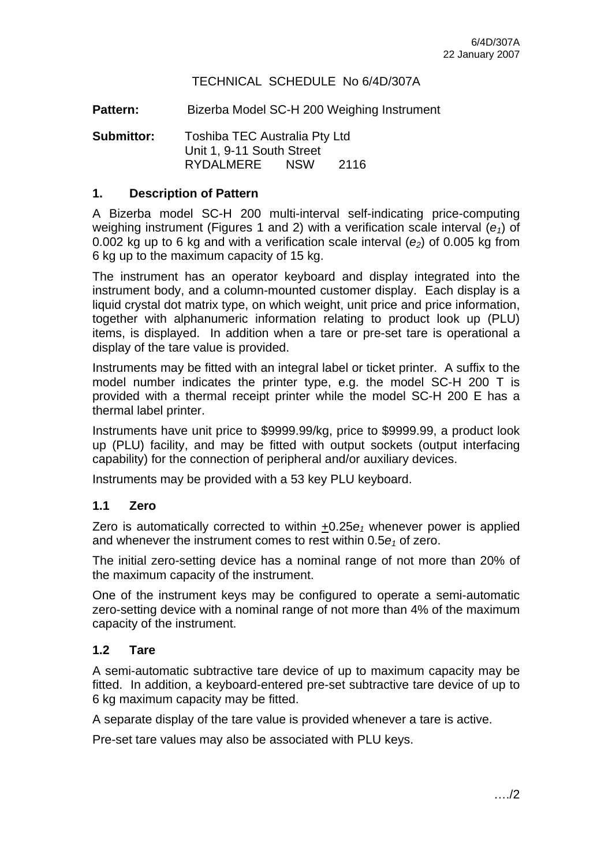### TECHNICAL SCHEDULE No 6/4D/307A

Pattern: Bizerba Model SC-H 200 Weighing Instrument

**Submittor:** Toshiba TEC Australia Pty Ltd Unit 1, 9-11 South Street RYDALMERE NSW 2116

#### **1. Description of Pattern**

A Bizerba model SC-H 200 multi-interval self-indicating price-computing weighing instrument (Figures 1 and 2) with a verification scale interval (*e1*) of 0.002 kg up to 6 kg and with a verification scale interval  $(e_2)$  of 0.005 kg from 6 kg up to the maximum capacity of 15 kg.

The instrument has an operator keyboard and display integrated into the instrument body, and a column-mounted customer display. Each display is a liquid crystal dot matrix type, on which weight, unit price and price information, together with alphanumeric information relating to product look up (PLU) items, is displayed. In addition when a tare or pre-set tare is operational a display of the tare value is provided.

Instruments may be fitted with an integral label or ticket printer. A suffix to the model number indicates the printer type, e.g. the model SC-H 200 T is provided with a thermal receipt printer while the model SC-H 200 E has a thermal label printer.

Instruments have unit price to \$9999.99/kg, price to \$9999.99, a product look up (PLU) facility, and may be fitted with output sockets (output interfacing capability) for the connection of peripheral and/or auxiliary devices.

Instruments may be provided with a 53 key PLU keyboard.

#### **1.1 Zero**

Zero is automatically corrected to within  $\pm 0.25e_1$  whenever power is applied and whenever the instrument comes to rest within  $0.5e<sub>1</sub>$  of zero.

The initial zero-setting device has a nominal range of not more than 20% of the maximum capacity of the instrument.

One of the instrument keys may be configured to operate a semi-automatic zero-setting device with a nominal range of not more than 4% of the maximum capacity of the instrument.

#### **1.2 Tare**

A semi-automatic subtractive tare device of up to maximum capacity may be fitted. In addition, a keyboard-entered pre-set subtractive tare device of up to 6 kg maximum capacity may be fitted.

A separate display of the tare value is provided whenever a tare is active.

Pre-set tare values may also be associated with PLU keys.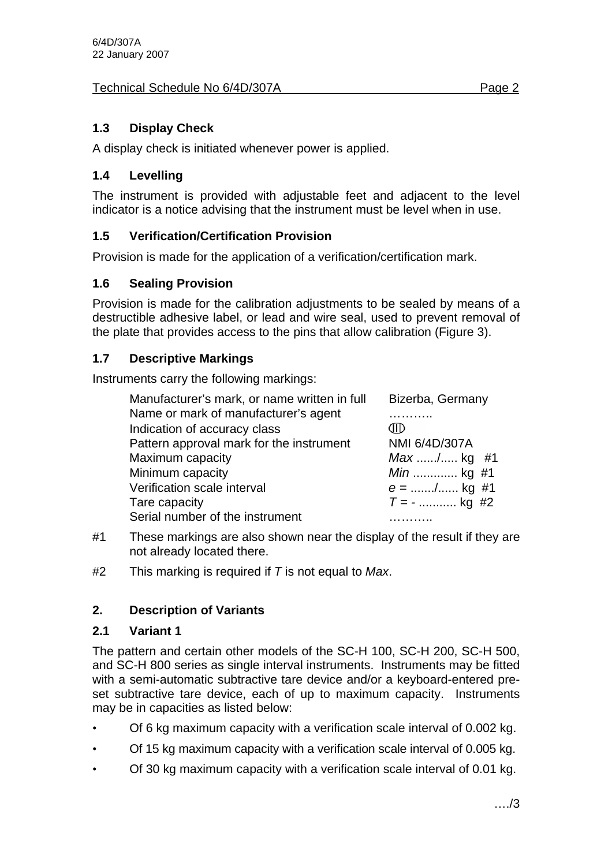# Technical Schedule No 6/4D/307A Page 2

# **1.3 Display Check**

A display check is initiated whenever power is applied.

# **1.4 Levelling**

The instrument is provided with adjustable feet and adjacent to the level indicator is a notice advising that the instrument must be level when in use.

# **1.5 Verification/Certification Provision**

Provision is made for the application of a verification/certification mark.

# **1.6 Sealing Provision**

Provision is made for the calibration adjustments to be sealed by means of a destructible adhesive label, or lead and wire seal, used to prevent removal of the plate that provides access to the pins that allow calibration (Figure 3).

# **1.7 Descriptive Markings**

Instruments carry the following markings:

| Manufacturer's mark, or name written in full | Bizerba, Germany |  |
|----------------------------------------------|------------------|--|
| Name or mark of manufacturer's agent         |                  |  |
| Indication of accuracy class                 |                  |  |
| Pattern approval mark for the instrument     | NMI 6/4D/307A    |  |
| Maximum capacity                             | $Max$ / kg #1    |  |
| Minimum capacity                             | <i>Min</i> kg #1 |  |
| Verification scale interval                  | $e =$ / kg #1    |  |
| Tare capacity                                | $T = -$ kg #2    |  |
| Serial number of the instrument              |                  |  |

- #1 These markings are also shown near the display of the result if they are not already located there.
- #2 This marking is required if *T* is not equal to *Max*.

# **2. Description of Variants**

# **2.1 Variant 1**

The pattern and certain other models of the SC-H 100, SC-H 200, SC-H 500, and SC-H 800 series as single interval instruments. Instruments may be fitted with a semi-automatic subtractive tare device and/or a keyboard-entered preset subtractive tare device, each of up to maximum capacity. Instruments may be in capacities as listed below:

- Of 6 kg maximum capacity with a verification scale interval of 0.002 kg.
- Of 15 kg maximum capacity with a verification scale interval of 0.005 kg.
- Of 30 kg maximum capacity with a verification scale interval of 0.01 kg.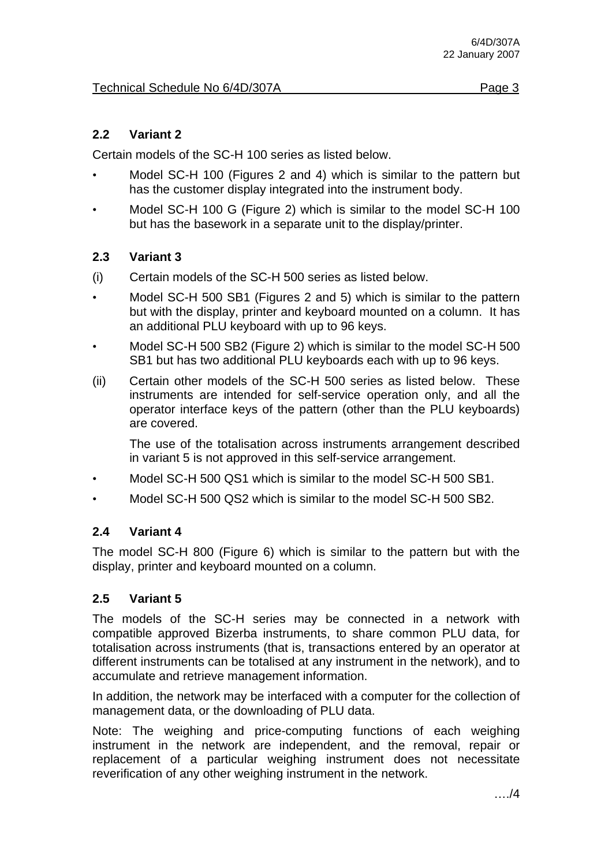## **2.2 Variant 2**

Certain models of the SC-H 100 series as listed below.

- Model SC-H 100 (Figures 2 and 4) which is similar to the pattern but has the customer display integrated into the instrument body.
- Model SC-H 100 G (Figure 2) which is similar to the model SC-H 100 but has the basework in a separate unit to the display/printer.

### **2.3 Variant 3**

- (i) Certain models of the SC-H 500 series as listed below.
- Model SC-H 500 SB1 (Figures 2 and 5) which is similar to the pattern but with the display, printer and keyboard mounted on a column. It has an additional PLU keyboard with up to 96 keys.
- Model SC-H 500 SB2 (Figure 2) which is similar to the model SC-H 500 SB1 but has two additional PLU keyboards each with up to 96 keys.
- (ii) Certain other models of the SC-H 500 series as listed below. These instruments are intended for self-service operation only, and all the operator interface keys of the pattern (other than the PLU keyboards) are covered.

The use of the totalisation across instruments arrangement described in variant 5 is not approved in this self-service arrangement.

- Model SC-H 500 QS1 which is similar to the model SC-H 500 SB1.
- Model SC-H 500 QS2 which is similar to the model SC-H 500 SB2.

# **2.4 Variant 4**

The model SC-H 800 (Figure 6) which is similar to the pattern but with the display, printer and keyboard mounted on a column.

# **2.5 Variant 5**

The models of the SC-H series may be connected in a network with compatible approved Bizerba instruments, to share common PLU data, for totalisation across instruments (that is, transactions entered by an operator at different instruments can be totalised at any instrument in the network), and to accumulate and retrieve management information.

In addition, the network may be interfaced with a computer for the collection of management data, or the downloading of PLU data.

Note: The weighing and price-computing functions of each weighing instrument in the network are independent, and the removal, repair or replacement of a particular weighing instrument does not necessitate reverification of any other weighing instrument in the network.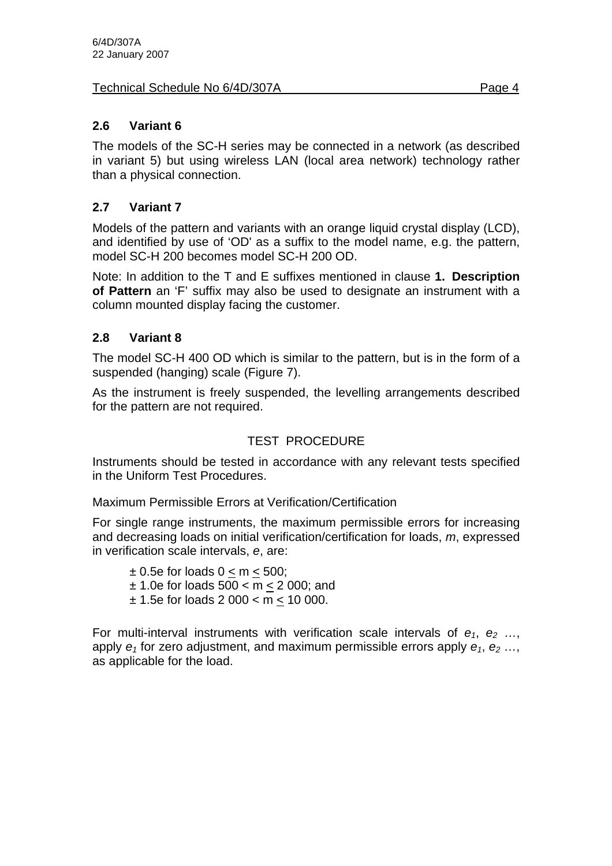#### Technical Schedule No 6/4D/307A Page 4

## **2.6 Variant 6**

The models of the SC-H series may be connected in a network (as described in variant 5) but using wireless LAN (local area network) technology rather than a physical connection.

# **2.7 Variant 7**

Models of the pattern and variants with an orange liquid crystal display (LCD), and identified by use of 'OD' as a suffix to the model name, e.g. the pattern, model SC-H 200 becomes model SC-H 200 OD.

Note: In addition to the T and E suffixes mentioned in clause **1. Description of Pattern** an 'F' suffix may also be used to designate an instrument with a column mounted display facing the customer.

### **2.8 Variant 8**

The model SC-H 400 OD which is similar to the pattern, but is in the form of a suspended (hanging) scale (Figure 7).

As the instrument is freely suspended, the levelling arrangements described for the pattern are not required.

# TEST PROCEDURE

Instruments should be tested in accordance with any relevant tests specified in the Uniform Test Procedures.

Maximum Permissible Errors at Verification/Certification

For single range instruments, the maximum permissible errors for increasing and decreasing loads on initial verification/certification for loads, *m*, expressed in verification scale intervals, *e*, are:

 $\pm$  0.5e for loads 0 < m < 500; ± 1.0e for loads 500 < m < 2 000; and ± 1.5e for loads 2 000 < m < 10 000.

For multi-interval instruments with verification scale intervals of  $e_1$ ,  $e_2$  ..., apply  $e_1$  for zero adjustment, and maximum permissible errors apply  $e_1$ ,  $e_2$ ,... as applicable for the load.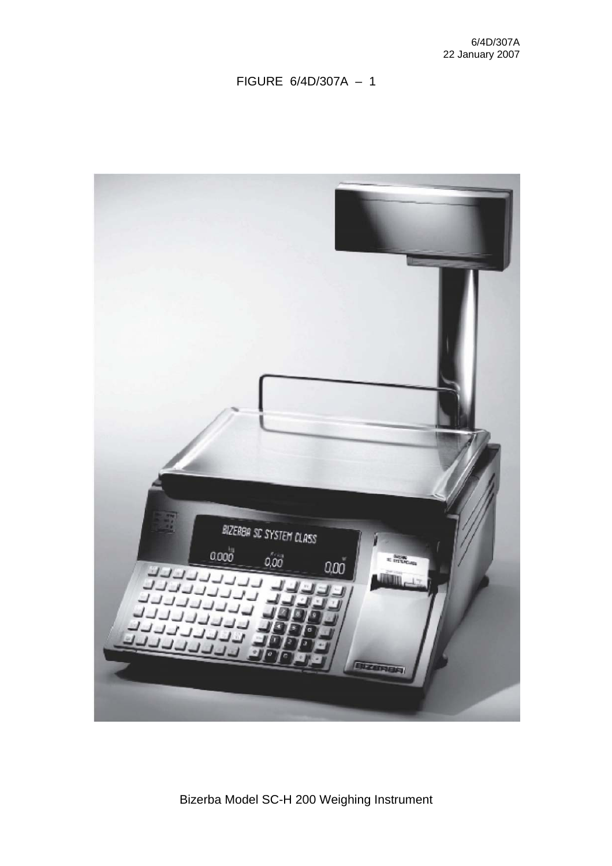| BIZERBA SC SYSTEM CLASS<br>$0.000$<br>$_{0,00}$<br>E Brown<br>0.00<br>ררררררו<br>- רוררררר |
|--------------------------------------------------------------------------------------------|
| $-111$<br><b>PLITTLE</b><br>擂<br>3N<br>BIZERIER                                            |

Bizerba Model SC-H 200 Weighing Instrument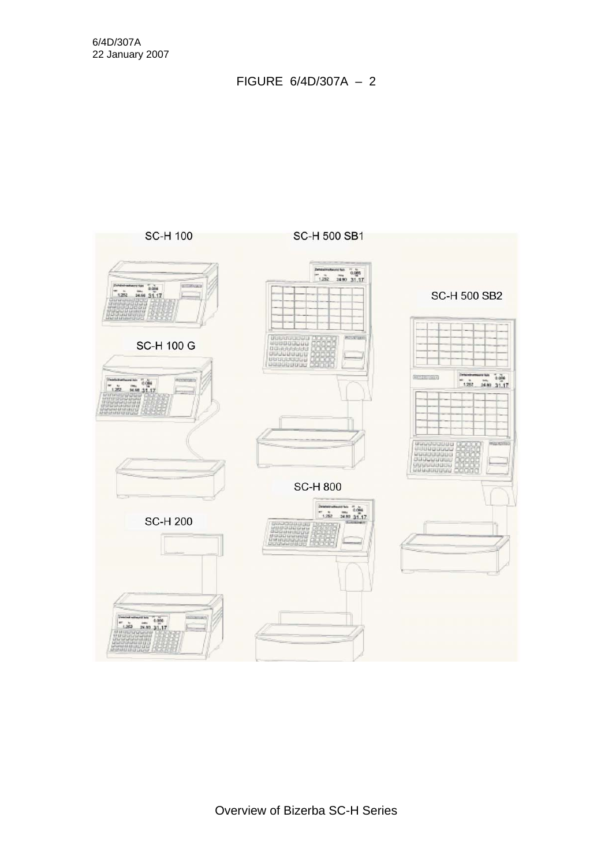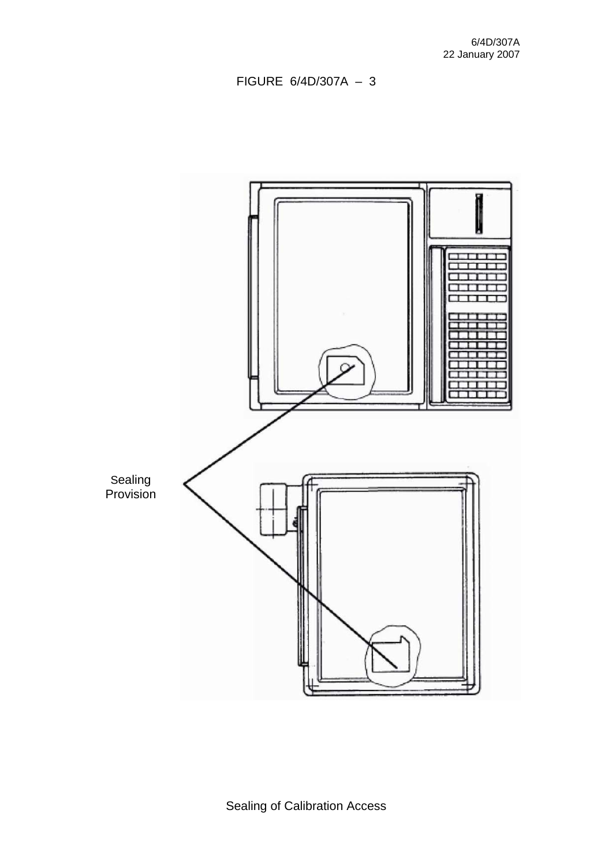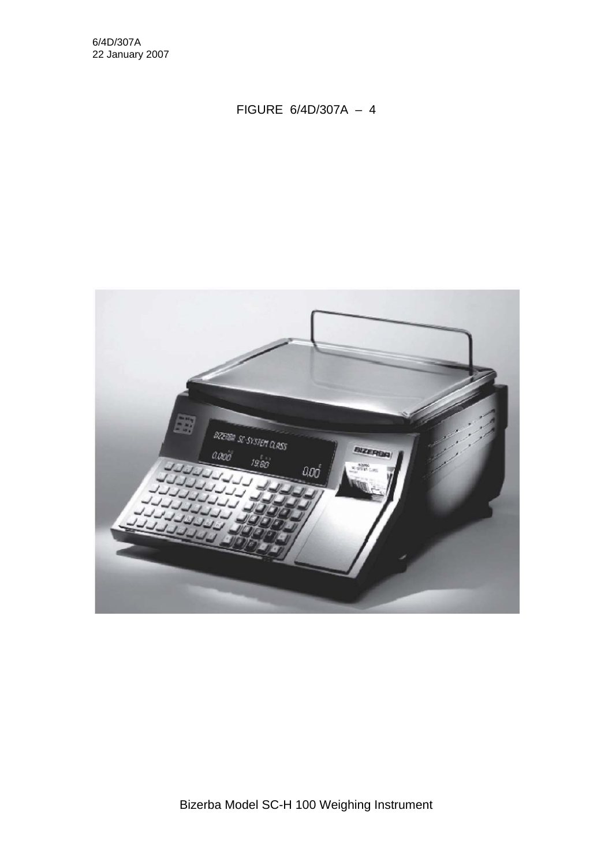6/4D/307A 22 January 2007

FIGURE 6/4D/307A – 4



Bizerba Model SC-H 100 Weighing Instrument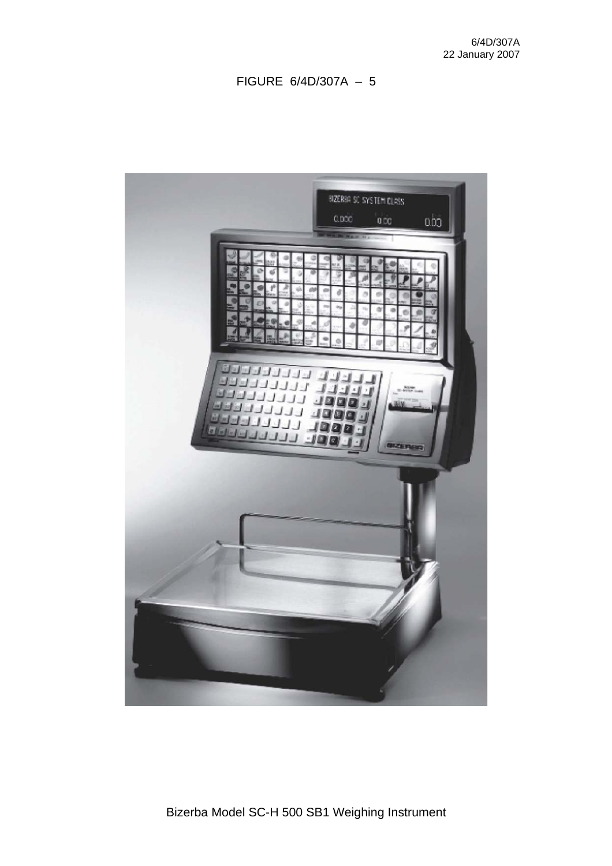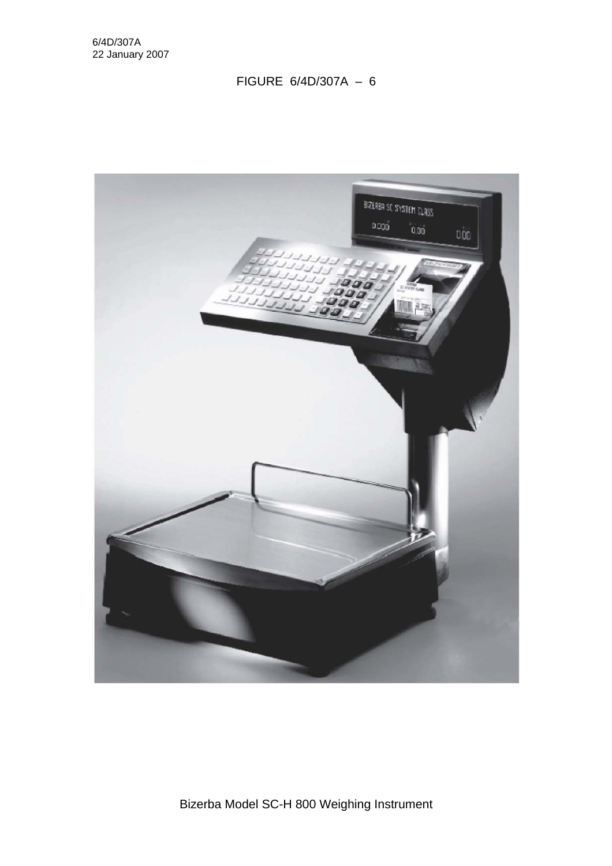

Bizerba Model SC-H 800 Weighing Instrument